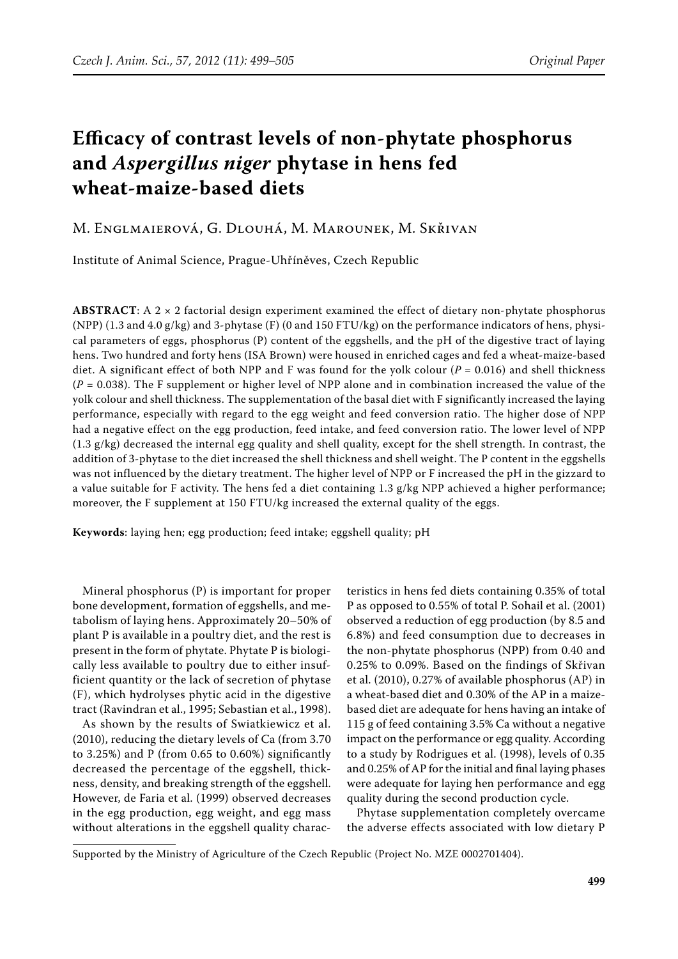# **Efficacy of contrast levels of non-phytate phosphorus and** *Aspergillus niger* **phytase in hens fed wheat-maize-based diets**

# M. Englmaierová, G. Dlouhá, M. Marounek, M. Skřivan

Institute of Animal Science, Prague-Uhříněves, Czech Republic

**ABSTRACT**: A 2 × 2 factorial design experiment examined the effect of dietary non-phytate phosphorus (NPP) (1.3 and 4.0 g/kg) and 3-phytase (F) (0 and 150 FTU/kg) on the performance indicators of hens, physical parameters of eggs, phosphorus (P) content of the eggshells, and the pH of the digestive tract of laying hens. Two hundred and forty hens (ISA Brown) were housed in enriched cages and fed a wheat-maize-based diet. A significant effect of both NPP and F was found for the yolk colour ( $P = 0.016$ ) and shell thickness  $(P = 0.038)$ . The F supplement or higher level of NPP alone and in combination increased the value of the yolk colour and shell thickness. The supplementation of the basal diet with F significantly increased the laying performance, especially with regard to the egg weight and feed conversion ratio. The higher dose of NPP had a negative effect on the egg production, feed intake, and feed conversion ratio. The lower level of NPP  $(1.3 \text{ g/kg})$  decreased the internal egg quality and shell quality, except for the shell strength. In contrast, the addition of 3-phytase to the diet increased the shell thickness and shell weight. The P content in the eggshells was not influenced by the dietary treatment. The higher level of NPP or F increased the pH in the gizzard to a value suitable for F activity. The hens fed a diet containing 1.3 g/kg NPP achieved a higher performance; moreover, the F supplement at 150 FTU/kg increased the external quality of the eggs.

**Keywords**: laying hen; egg production; feed intake; eggshell quality; pH

Mineral phosphorus (P) is important for proper bone development, formation of eggshells, and metabolism of laying hens. Approximately 20–50% of plant P is available in a poultry diet, and the rest is present in the form of phytate. Phytate P is biologically less available to poultry due to either insufficient quantity or the lack of secretion of phytase (F), which hydrolyses phytic acid in the digestive tract (Ravindran et al., 1995; Sebastian et al., 1998).

As shown by the results of Swiatkiewicz et al. (2010), reducing the dietary levels of Ca (from 3.70 to 3.25%) and P (from 0.65 to 0.60%) significantly decreased the percentage of the eggshell, thickness, density, and breaking strength of the eggshell. However, de Faria et al. (1999) observed decreases in the egg production, egg weight, and egg mass without alterations in the eggshell quality charac-

teristics in hens fed diets containing 0.35% of total P as opposed to 0.55% of total P. Sohail et al. (2001) observed a reduction of egg production (by 8.5 and 6.8%) and feed consumption due to decreases in the non-phytate phosphorus (NPP) from 0.40 and 0.25% to 0.09%. Based on the findings of Skřivan et al. (2010), 0.27% of available phosphorus (AP) in a wheat-based diet and 0.30% of the AP in a maizebased diet are adequate for hens having an intake of 115 g of feed containing 3.5% Ca without a negative impact on the performance or egg quality. According to a study by Rodrigues et al. (1998), levels of 0.35 and 0.25% of AP for the initial and final laying phases were adequate for laying hen performance and egg quality during the second production cycle.

Phytase supplementation completely overcame the adverse effects associated with low dietary P

Supported by the Ministry of Agriculture of the Czech Republic (Project No. MZE 0002701404).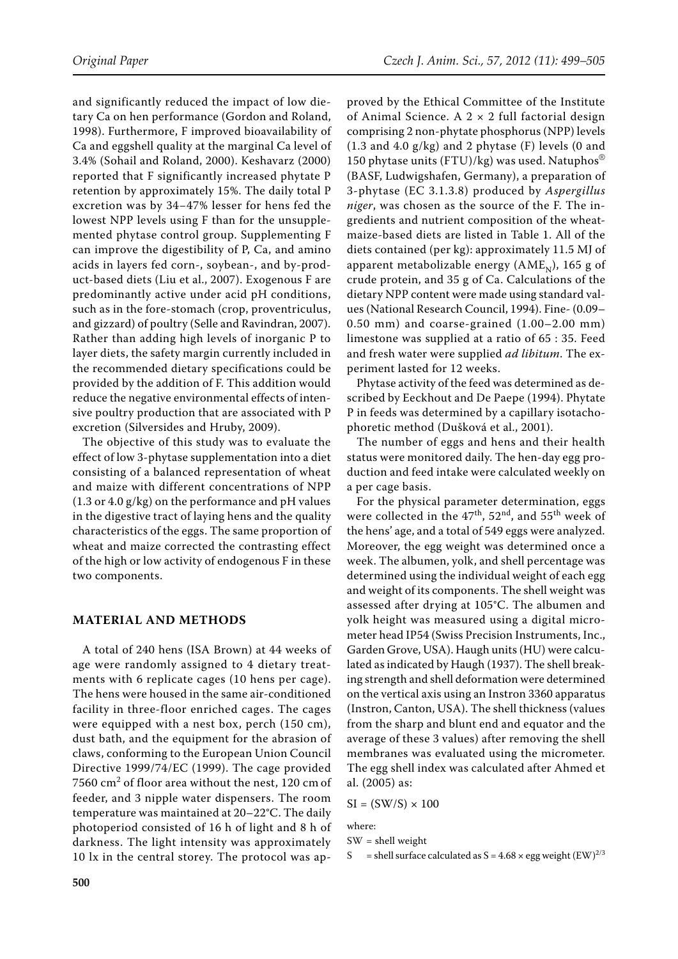and significantly reduced the impact of low dietary Ca on hen performance (Gordon and Roland, 1998). Furthermore, F improved bioavailability of Ca and eggshell quality at the marginal Ca level of 3.4% (Sohail and Roland, 2000). Keshavarz (2000) reported that F significantly increased phytate P retention by approximately 15%. The daily total P excretion was by 34−47% lesser for hens fed the lowest NPP levels using F than for the unsupplemented phytase control group. Supplementing F can improve the digestibility of P, Ca, and amino acids in layers fed corn-, soybean-, and by-product-based diets (Liu et al., 2007). Exogenous F are predominantly active under acid pH conditions, such as in the fore-stomach (crop, proventriculus, and gizzard) of poultry (Selle and Ravindran, 2007). Rather than adding high levels of inorganic P to layer diets, the safety margin currently included in the recommended dietary specifications could be provided by the addition of F. This addition would reduce the negative environmental effects of intensive poultry production that are associated with P excretion (Silversides and Hruby, 2009).

The objective of this study was to evaluate the effect of low 3-phytase supplementation into a diet consisting of a balanced representation of wheat and maize with different concentrations of NPP (1.3 or 4.0 g/kg) on the performance and pH values in the digestive tract of laying hens and the quality characteristics of the eggs. The same proportion of wheat and maize corrected the contrasting effect of the high or low activity of endogenous F in these two components.

## **MATERIAL AND METHODS**

A total of 240 hens (ISA Brown) at 44 weeks of age were randomly assigned to 4 dietary treatments with 6 replicate cages (10 hens per cage). The hens were housed in the same air-conditioned facility in three-floor enriched cages. The cages were equipped with a nest box, perch (150 cm), dust bath, and the equipment for the abrasion of claws, conforming to the European Union Council Directive 1999/74/EC (1999). The cage provided 7560  $\text{cm}^2$  of floor area without the nest, 120  $\text{cm}$  of feeder, and 3 nipple water dispensers. The room temperature was maintained at 20–22°C. The daily photoperiod consisted of 16 h of light and 8 h of darkness. The light intensity was approximately 10 lx in the central storey. The protocol was ap-

proved by the Ethical Committee of the Institute of Animal Science. A  $2 \times 2$  full factorial design comprising 2 non-phytate phosphorus (NPP) levels  $(1.3$  and  $4.0$  g/kg) and 2 phytase  $(F)$  levels  $(0 \text{ and } 1.3)$ 150 phytase units (FTU)/kg) was used. Natuphos® (BASF, Ludwigshafen, Germany), a preparation of 3-phytase (EC 3.1.3.8) produced by *Aspergillus niger*, was chosen as the source of the F. The ingredients and nutrient composition of the wheatmaize-based diets are listed in Table 1. All of the diets contained (per kg): approximately 11.5 MJ of apparent metabolizable energy ( $AME<sub>N</sub>$ ), 165 g of crude protein, and 35 g of Ca. Calculations of the dietary NPP content were made using standard values (National Research Council, 1994). Fine- (0.09– 0.50 mm) and coarse-grained (1.00–2.00 mm) limestone was supplied at a ratio of 65 : 35. Feed and fresh water were supplied *ad libitum*. The experiment lasted for 12 weeks.

Phytase activity of the feed was determined as described by Eeckhout and De Paepe (1994). Phytate P in feeds was determined by a capillary isotachophoretic method (Dušková et al., 2001).

The number of eggs and hens and their health status were monitored daily. The hen-day egg production and feed intake were calculated weekly on a per cage basis.

For the physical parameter determination, eggs were collected in the  $47<sup>th</sup>$ ,  $52<sup>nd</sup>$ , and  $55<sup>th</sup>$  week of the hens' age, and a total of 549 eggs were analyzed. Moreover, the egg weight was determined once a week. The albumen, yolk, and shell percentage was determined using the individual weight of each egg and weight of its components. The shell weight was assessed after drying at 105°C. The albumen and yolk height was measured using a digital micrometer head IP54 (Swiss Precision Instruments, Inc., Garden Grove, USA). Haugh units (HU) were calculated as indicated by Haugh (1937). The shell breaking strength and shell deformation were determined on the vertical axis using an Instron 3360 apparatus (Instron, Canton, USA). The shell thickness (values from the sharp and blunt end and equator and the average of these 3 values) after removing the shell membranes was evaluated using the micrometer. The egg shell index was calculated after Ahmed et al. (2005) as:

$$
SI = (SW/S) \times 100
$$

where:

SW = shell weight

S = shell surface calculated as  $S = 4.68 \times$  egg weight (EW)<sup>2/3</sup>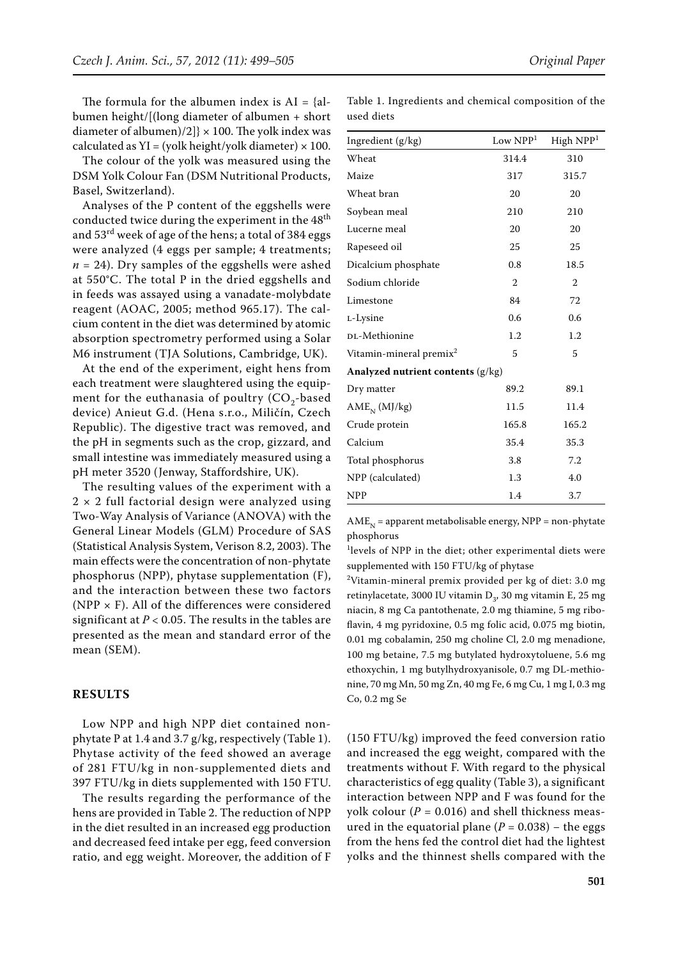The formula for the albumen index is  $AI = \{al - b\}$ bumen height/[(long diameter of albumen + short diameter of albumen)/2]}  $\times$  100. The yolk index was calculated as  $YI = (yolk height/yolk diameter) \times 100$ .

The colour of the yolk was measured using the DSM Yolk Colour Fan (DSM Nutritional Products, Basel, Switzerland).

Analyses of the P content of the eggshells were conducted twice during the experiment in the 48<sup>th</sup> and 53rd week of age of the hens; a total of 384 eggs were analyzed (4 eggs per sample; 4 treatments;  $n = 24$ ). Dry samples of the eggshells were ashed at 550°C. The total P in the dried eggshells and in feeds was assayed using a vanadate-molybdate reagent (AOAC, 2005; method 965.17). The calcium content in the diet was determined by atomic absorption spectrometry performed using a Solar M6 instrument (TJA Solutions, Cambridge, UK).

At the end of the experiment, eight hens from each treatment were slaughtered using the equipment for the euthanasia of poultry  $(CO<sub>2</sub>-based$ device) Anieut G.d. (Hena s.r.o., Miličín, Czech Republic). The digestive tract was removed, and the pH in segments such as the crop, gizzard, and small intestine was immediately measured using a pH meter 3520 (Jenway, Staffordshire, UK).

The resulting values of the experiment with a  $2 \times 2$  full factorial design were analyzed using Two-Way Analysis of Variance (ANOVA) with the General Linear Models (GLM) Procedure of SAS (Statistical Analysis System, Verison 8.2, 2003). The main effects were the concentration of non-phytate phosphorus (NPP), phytase supplementation (F), and the interaction between these two factors (NPP  $\times$  F). All of the differences were considered significant at  $P < 0.05$  . The results in the tables are presented as the mean and standard error of the mean (SEM).

## **RESULTS**

Low NPP and high NPP diet contained nonphytate P at 1.4 and 3.7 g/kg, respectively (Table 1). Phytase activity of the feed showed an average of 281 FTU/kg in non-supplemented diets and 397 FTU/kg in diets supplemented with 150 FTU.

The results regarding the performance of the hens are provided in Table 2. The reduction of NPP in the diet resulted in an increased egg production and decreased feed intake per egg, feed conversion ratio, and egg weight. Moreover, the addition of F

Table 1. Ingredients and chemical composition of the used diets

| Ingredient (g/kg)                   | Low NPP <sup>1</sup> | High NPP <sup>1</sup> |  |  |  |  |  |
|-------------------------------------|----------------------|-----------------------|--|--|--|--|--|
| Wheat                               | 314.4                | 310                   |  |  |  |  |  |
| Maize                               | 317                  | 315.7                 |  |  |  |  |  |
| Wheat bran                          | 20                   | 20                    |  |  |  |  |  |
| Soybean meal                        | 210                  | 210                   |  |  |  |  |  |
| Lucerne meal                        | 20                   | 20                    |  |  |  |  |  |
| Rapeseed oil                        | 25                   | 25                    |  |  |  |  |  |
| Dicalcium phosphate                 | 0.8                  | 18.5                  |  |  |  |  |  |
| Sodium chloride                     | $\overline{2}$       | $\overline{2}$        |  |  |  |  |  |
| Limestone                           | 84                   | 72                    |  |  |  |  |  |
| L-Lysine                            | 0.6                  | 0.6                   |  |  |  |  |  |
| DL-Methionine                       | 1.2                  | 1.2                   |  |  |  |  |  |
| Vitamin-mineral premix <sup>2</sup> | 5                    | 5                     |  |  |  |  |  |
| Analyzed nutrient contents (g/kg)   |                      |                       |  |  |  |  |  |
| Dry matter                          | 89.2                 | 89.1                  |  |  |  |  |  |
| $AMEN$ (MJ/kg)                      | 11.5                 | 11.4                  |  |  |  |  |  |
| Crude protein                       | 165.8                | 165.2                 |  |  |  |  |  |
| Calcium                             | 35.4                 | 35.3                  |  |  |  |  |  |
| Total phosphorus                    | 3.8                  | 7.2                   |  |  |  |  |  |
| NPP (calculated)                    | 1.3                  | 4.0                   |  |  |  |  |  |
| <b>NPP</b>                          | 1.4                  | 3.7                   |  |  |  |  |  |

 $AME<sub>N</sub>$  = apparent metabolisable energy, NPP = non-phytate phosphorus

1 levels of NPP in the diet; other experimental diets were supplemented with 150 FTU/kg of phytase

<sup>2</sup>Vitamin-mineral premix provided per kg of diet: 3.0 mg retinylacetate, 3000 IU vitamin  $D_3$ , 30 mg vitamin E, 25 mg niacin, 8 mg Ca pantothenate, 2.0 mg thiamine, 5 mg riboflavin, 4 mg pyridoxine, 0.5 mg folic acid, 0.075 mg biotin, 0.01 mg cobalamin, 250 mg choline Cl, 2.0 mg menadione, 100 mg betaine, 7.5 mg butylated hydroxytoluene, 5.6 mg ethoxychin, 1 mg butylhydroxyanisole, 0.7 mg DL-methionine, 70 mg Mn, 50 mg Zn, 40 mg Fe, 6 mg Cu, 1 mg I, 0.3 mg Co, 0.2 mg Se

(150 FTU/kg) improved the feed conversion ratio and increased the egg weight, compared with the treatments without F. With regard to the physical characteristics of egg quality (Table 3), a significant interaction between NPP and F was found for the yolk colour ( $P = 0.016$ ) and shell thickness measured in the equatorial plane ( $P = 0.038$ ) – the eggs from the hens fed the control diet had the lightest yolks and the thinnest shells compared with the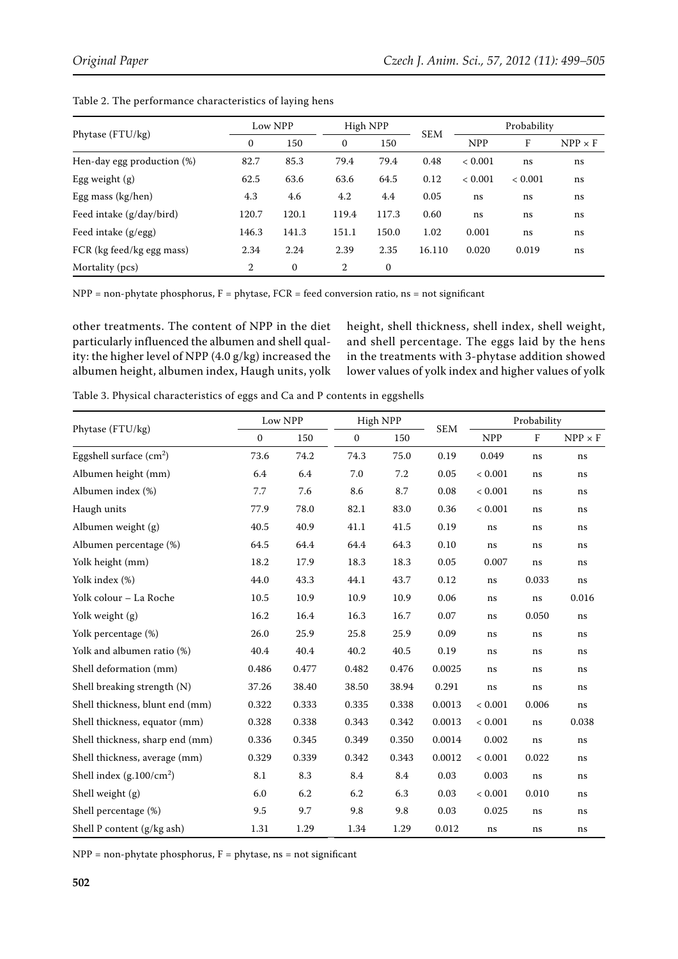| Phytase (FTU/kg)           | Low NPP      |              | High NPP       |              |            | Probability |         |                |
|----------------------------|--------------|--------------|----------------|--------------|------------|-------------|---------|----------------|
|                            | $\mathbf{0}$ | 150          | $\mathbf{0}$   | 150          | <b>SEM</b> | <b>NPP</b>  | F       | $NPP \times F$ |
| Hen-day egg production (%) | 82.7         | 85.3         | 79.4           | 79.4         | 0.48       | < 0.001     | ns      | ns             |
| Egg weight $(g)$           | 62.5         | 63.6         | 63.6           | 64.5         | 0.12       | < 0.001     | < 0.001 | ns             |
| Egg mass $(kg/hen)$        | 4.3          | 4.6          | 4.2            | 4.4          | 0.05       | ns          | ns      | ns             |
| Feed intake (g/day/bird)   | 120.7        | 120.1        | 119.4          | 117.3        | 0.60       | ns          | ns      | ns             |
| Feed intake (g/egg)        | 146.3        | 141.3        | 151.1          | 150.0        | 1.02       | 0.001       | ns      | ns             |
| FCR (kg feed/kg egg mass)  | 2.34         | 2.24         | 2.39           | 2.35         | 16.110     | 0.020       | 0.019   | ns             |
| Mortality (pcs)            | 2            | $\mathbf{0}$ | $\overline{2}$ | $\mathbf{0}$ |            |             |         |                |

Table 2. The performance characteristics of laying hens

NPP = non-phytate phosphorus, F = phytase, FCR = feed conversion ratio, ns = not significant

other treatments. The content of NPP in the diet particularly influenced the albumen and shell quality: the higher level of NPP (4.0 g/kg) increased the albumen height, albumen index, Haugh units, yolk

height, shell thickness, shell index, shell weight, and shell percentage. The eggs laid by the hens in the treatments with 3-phytase addition showed lower values of yolk index and higher values of yolk

Table 3. Physical characteristics of eggs and Ca and P contents in eggshells

|                                 | Low NPP      |       | High NPP     |       |            | Probability |         |                |
|---------------------------------|--------------|-------|--------------|-------|------------|-------------|---------|----------------|
| Phytase (FTU/kg)                | $\mathbf{0}$ | 150   | $\mathbf{0}$ | 150   | <b>SEM</b> | <b>NPP</b>  | $\rm F$ | $NPP \times F$ |
| Eggshell surface $(cm2)$        | 73.6         | 74.2  | 74.3         | 75.0  | 0.19       | 0.049       | ns      | ns             |
| Albumen height (mm)             | 6.4          | 6.4   | 7.0          | 7.2   | 0.05       | < 0.001     | ns      | $\rm ns$       |
| Albumen index (%)               | 7.7          | 7.6   | 8.6          | 8.7   | 0.08       | < 0.001     | ns      | $\rm ns$       |
| Haugh units                     | 77.9         | 78.0  | 82.1         | 83.0  | 0.36       | < 0.001     | ns      | ns             |
| Albumen weight (g)              | 40.5         | 40.9  | 41.1         | 41.5  | 0.19       | ns          | ns      | $\rm ns$       |
| Albumen percentage (%)          | 64.5         | 64.4  | 64.4         | 64.3  | 0.10       | ns          | ns      | $\rm ns$       |
| Yolk height (mm)                | 18.2         | 17.9  | 18.3         | 18.3  | 0.05       | 0.007       | ns      | $\rm ns$       |
| Yolk index (%)                  | 44.0         | 43.3  | 44.1         | 43.7  | 0.12       | ns          | 0.033   | ns             |
| Yolk colour - La Roche          | 10.5         | 10.9  | 10.9         | 10.9  | 0.06       | ns          | ns      | 0.016          |
| Yolk weight (g)                 | 16.2         | 16.4  | 16.3         | 16.7  | 0.07       | ns          | 0.050   | $\rm ns$       |
| Yolk percentage (%)             | 26.0         | 25.9  | 25.8         | 25.9  | 0.09       | ns          | ns      | ns             |
| Yolk and albumen ratio (%)      | 40.4         | 40.4  | 40.2         | 40.5  | 0.19       | ns          | ns      | $\rm ns$       |
| Shell deformation (mm)          | 0.486        | 0.477 | 0.482        | 0.476 | 0.0025     | ns          | ns      | $\rm ns$       |
| Shell breaking strength (N)     | 37.26        | 38.40 | 38.50        | 38.94 | 0.291      | ns          | ns      | $\rm ns$       |
| Shell thickness, blunt end (mm) | 0.322        | 0.333 | 0.335        | 0.338 | 0.0013     | < 0.001     | 0.006   | ns             |
| Shell thickness, equator (mm)   | 0.328        | 0.338 | 0.343        | 0.342 | 0.0013     | < 0.001     | ns      | 0.038          |
| Shell thickness, sharp end (mm) | 0.336        | 0.345 | 0.349        | 0.350 | 0.0014     | 0.002       | ns      | ns             |
| Shell thickness, average (mm)   | 0.329        | 0.339 | 0.342        | 0.343 | 0.0012     | < 0.001     | 0.022   | $\rm ns$       |
| Shell index $(g.100/cm^2)$      | 8.1          | 8.3   | 8.4          | 8.4   | 0.03       | 0.003       | ns      | $\rm ns$       |
| Shell weight (g)                | 6.0          | 6.2   | 6.2          | 6.3   | 0.03       | < 0.001     | 0.010   | ns             |
| Shell percentage (%)            | 9.5          | 9.7   | 9.8          | 9.8   | 0.03       | 0.025       | ns      | $\rm ns$       |
| Shell P content (g/kg ash)      | 1.31         | 1.29  | 1.34         | 1.29  | 0.012      | ns          | ns      | ns             |

 $NPP = non-phytate phosphorus, F = phytase, ns = not significant$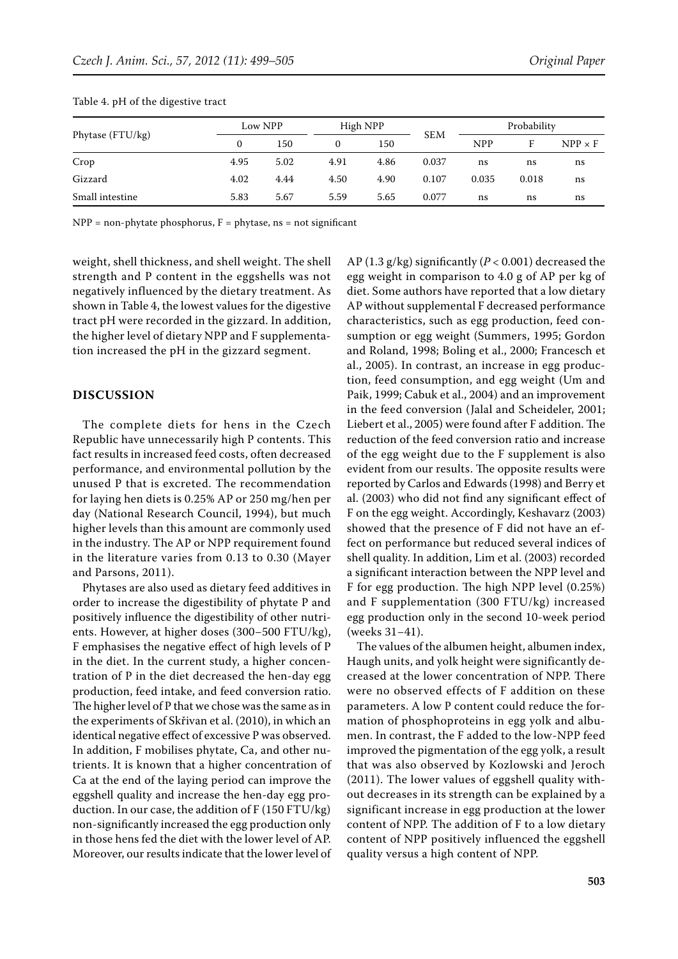| Phytase (FTU/kg) |      | Low NPP |          | High NPP |            | Probability |       |                |
|------------------|------|---------|----------|----------|------------|-------------|-------|----------------|
|                  |      | 150     | $\theta$ | 150      | <b>SEM</b> | <b>NPP</b>  |       | $NPP \times F$ |
| Crop             | 4.95 | 5.02    | 4.91     | 4.86     | 0.037      | ns          | ns    | ns             |
| Gizzard          | 4.02 | 4.44    | 4.50     | 4.90     | 0.107      | 0.035       | 0.018 | ns             |
| Small intestine  | 5.83 | 5.67    | 5.59     | 5.65     | 0.077      | ns          | ns    | ns             |

#### Table 4. pH of the digestive tract

 $NPP = non-phytate phosphorus, F = phytase, ns = not significant$ 

weight, shell thickness, and shell weight. The shell strength and P content in the eggshells was not negatively influenced by the dietary treatment. As shown in Table 4, the lowest values for the digestive tract pH were recorded in the gizzard. In addition, the higher level of dietary NPP and F supplementation increased the pH in the gizzard segment.

### **DISCUSSION**

The complete diets for hens in the Czech Republic have unnecessarily high P contents. This fact results in increased feed costs, often decreased performance, and environmental pollution by the unused P that is excreted. The recommendation for laying hen diets is 0.25% AP or 250 mg/hen per day (National Research Council, 1994), but much higher levels than this amount are commonly used in the industry. The AP or NPP requirement found in the literature varies from 0.13 to 0.30 (Mayer and Parsons, 2011).

Phytases are also used as dietary feed additives in order to increase the digestibility of phytate P and positively influence the digestibility of other nutrients. However, at higher doses (300−500 FTU/kg), F emphasises the negative effect of high levels of P in the diet. In the current study, a higher concentration of P in the diet decreased the hen-day egg production, feed intake, and feed conversion ratio. The higher level of P that we chose was the same as in the experiments of Skřivan et al. (2010), in which an identical negative effect of excessive P was observed. In addition, F mobilises phytate, Ca, and other nutrients. It is known that a higher concentration of Ca at the end of the laying period can improve the eggshell quality and increase the hen-day egg production. In our case, the addition of F (150 FTU/kg) non-significantly increased the egg production only in those hens fed the diet with the lower level of AP. Moreover, our results indicate that the lower level of

AP (1.3 g/kg) significantly (*P* < 0.001) decreased the egg weight in comparison to 4.0 g of AP per kg of diet. Some authors have reported that a low dietary AP without supplemental F decreased performance characteristics, such as egg production, feed consumption or egg weight (Summers, 1995; Gordon and Roland, 1998; Boling et al., 2000; Francesch et al., 2005). In contrast, an increase in egg production, feed consumption, and egg weight (Um and Paik, 1999; Cabuk et al., 2004) and an improvement in the feed conversion (Jalal and Scheideler, 2001; Liebert et al., 2005) were found after F addition. The reduction of the feed conversion ratio and increase of the egg weight due to the F supplement is also evident from our results. The opposite results were reported by Carlos and Edwards (1998) and Berry et al. (2003) who did not find any significant effect of F on the egg weight. Accordingly, Keshavarz (2003) showed that the presence of F did not have an effect on performance but reduced several indices of shell quality. In addition, Lim et al. (2003) recorded a significant interaction between the NPP level and F for egg production. The high NPP level (0.25%) and F supplementation (300 FTU/kg) increased egg production only in the second 10-week period (weeks 31−41).

The values of the albumen height, albumen index, Haugh units, and yolk height were significantly decreased at the lower concentration of NPP. There were no observed effects of F addition on these parameters. A low P content could reduce the formation of phosphoproteins in egg yolk and albumen. In contrast, the F added to the low-NPP feed improved the pigmentation of the egg yolk, a result that was also observed by Kozlowski and Jeroch (2011). The lower values of eggshell quality without decreases in its strength can be explained by a significant increase in egg production at the lower content of NPP. The addition of F to a low dietary content of NPP positively influenced the eggshell quality versus a high content of NPP.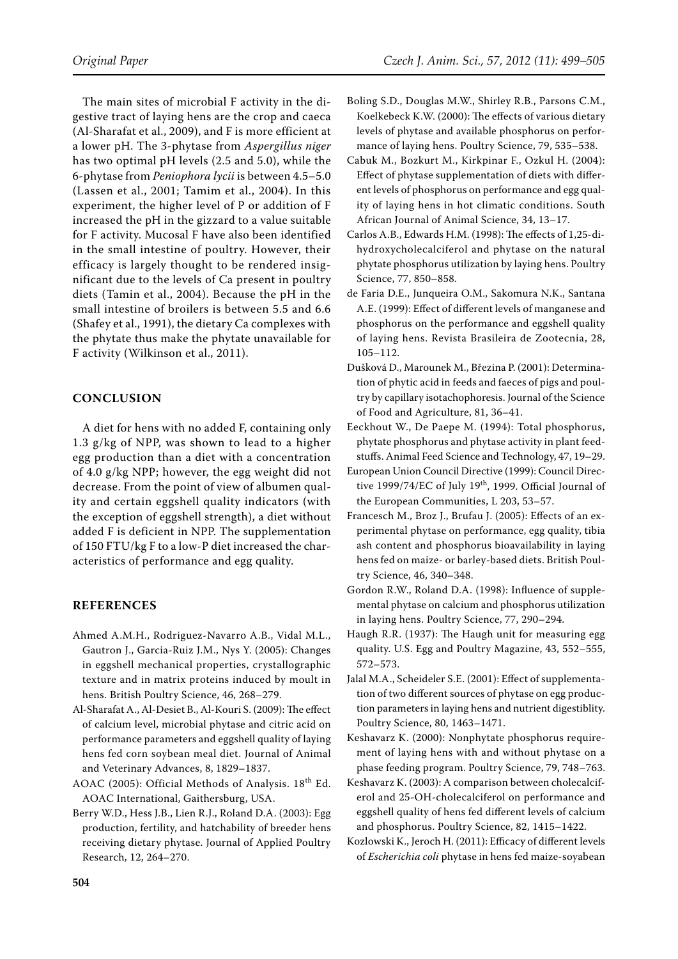The main sites of microbial F activity in the digestive tract of laying hens are the crop and caeca (Al-Sharafat et al., 2009), and F is more efficient at a lower pH. The 3-phytase from *Aspergillus niger* has two optimal pH levels (2.5 and 5.0), while the 6-phytase from *Peniophora lycii* is between 4.5–5.0 (Lassen et al., 2001; Tamim et al., 2004). In this experiment, the higher level of P or addition of F increased the pH in the gizzard to a value suitable for F activity. Mucosal F have also been identified in the small intestine of poultry. However, their efficacy is largely thought to be rendered insignificant due to the levels of Ca present in poultry diets (Tamin et al., 2004). Because the pH in the small intestine of broilers is between 5.5 and 6.6 (Shafey et al., 1991), the dietary Ca complexes with the phytate thus make the phytate unavailable for F activity (Wilkinson et al., 2011).

## **Conclusion**

A diet for hens with no added F, containing only 1.3 g/kg of NPP, was shown to lead to a higher egg production than a diet with a concentration of 4.0 g/kg NPP; however, the egg weight did not decrease. From the point of view of albumen quality and certain eggshell quality indicators (with the exception of eggshell strength), a diet without added F is deficient in NPP. The supplementation of 150 FTU/kg F to a low-P diet increased the characteristics of performance and egg quality.

## **References**

- Ahmed A.M.H., Rodriguez-Navarro A.B., Vidal M.L., Gautron J., Garcia-Ruiz J.M., Nys Y. (2005): Changes in eggshell mechanical properties, crystallographic texture and in matrix proteins induced by moult in hens. British Poultry Science, 46, 268–279.
- Al-Sharafat A., Al-Desiet B., Al-Kouri S. (2009): The effect of calcium level, microbial phytase and citric acid on performance parameters and eggshell quality of laying hens fed corn soybean meal diet. Journal of Animal and Veterinary Advances, 8, 1829–1837.
- AOAC (2005): Official Methods of Analysis. 18th Ed. AOAC International, Gaithersburg, USA.
- Berry W.D., Hess J.B., Lien R.J., Roland D.A. (2003): Egg production, fertility, and hatchability of breeder hens receiving dietary phytase. Journal of Applied Poultry Research, 12, 264–270.
- Boling S.D., Douglas M.W., Shirley R.B., Parsons C.M., Koelkebeck K.W. (2000): The effects of various dietary levels of phytase and available phosphorus on performance of laying hens. Poultry Science, 79, 535–538.
- Cabuk M., Bozkurt M., Kirkpinar F., Ozkul H. (2004): Effect of phytase supplementation of diets with different levels of phosphorus on performance and egg quality of laying hens in hot climatic conditions. South African Journal of Animal Science, 34, 13–17.
- Carlos A.B., Edwards H.M. (1998): The effects of 1,25-dihydroxycholecalciferol and phytase on the natural phytate phosphorus utilization by laying hens. Poultry Science, 77, 850–858.
- de Faria D.E., Junqueira O.M., Sakomura N.K., Santana A.E. (1999): Effect of different levels of manganese and phosphorus on the performance and eggshell quality of laying hens. Revista Brasileira de Zootecnia, 28, 105–112.
- Dušková D., Marounek M., Březina P. (2001): Determination of phytic acid in feeds and faeces of pigs and poultry by capillary isotachophoresis. Journal of the Science of Food and Agriculture, 81, 36–41.
- Eeckhout W., De Paepe M. (1994): Total phosphorus, phytate phosphorus and phytase activity in plant feedstuffs. Animal Feed Science and Technology, 47, 19–29.
- European Union Council Directive (1999): Council Directive 1999/74/EC of July 19<sup>th</sup>, 1999. Official Journal of the European Communities, L 203, 53–57.
- Francesch M., Broz J., Brufau J. (2005): Effects of an experimental phytase on performance, egg quality, tibia ash content and phosphorus bioavailability in laying hens fed on maize- or barley-based diets. British Poultry Science, 46, 340–348.
- Gordon R.W., Roland D.A. (1998): Influence of supplemental phytase on calcium and phosphorus utilization in laying hens. Poultry Science, 77, 290–294.
- Haugh R.R. (1937): The Haugh unit for measuring egg quality. U.S. Egg and Poultry Magazine, 43, 552–555, 572–573.
- Jalal M.A., Scheideler S.E. (2001): Effect of supplementation of two different sources of phytase on egg production parameters in laying hens and nutrient digestiblity. Poultry Science, 80, 1463–1471.
- Keshavarz K. (2000): Nonphytate phosphorus requirement of laying hens with and without phytase on a phase feeding program. Poultry Science, 79, 748–763.
- Keshavarz K. (2003): A comparison between cholecalciferol and 25-OH-cholecalciferol on performance and eggshell quality of hens fed different levels of calcium and phosphorus. Poultry Science, 82, 1415–1422.
- Kozlowski K., Jeroch H. (2011): Efficacy of different levels of *Escherichia coli* phytase in hens fed maize-soyabean